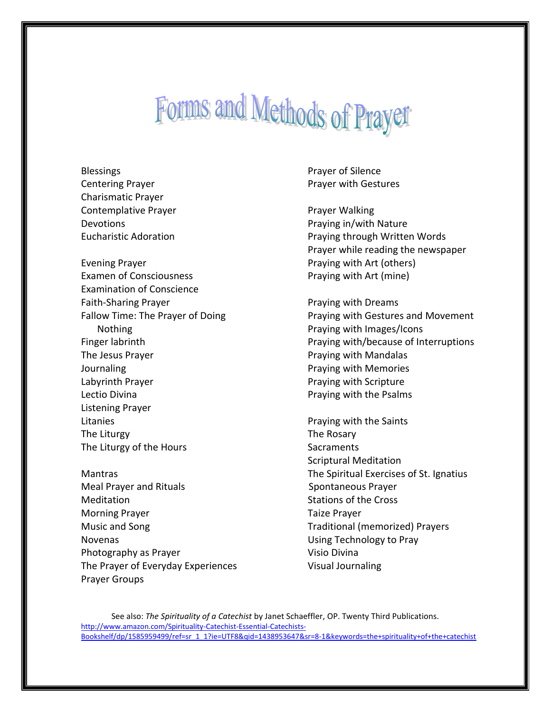## Forms and Methods of Prayer

**Blessings** Centering Prayer Charismatic Prayer Contemplative Prayer Devotions Eucharistic Adoration Evening Prayer Examen of Consciousness Examination of Conscience Faith-Sharing Prayer Fallow Time: The Prayer of Doing Nothing Finger labrinth The Jesus Prayer Journaling Labyrinth Prayer Lectio Divina Listening Prayer Litanies The Liturgy The Liturgy of the Hours Mantras Meal Prayer and Rituals Meditation

Morning Prayer Music and Song Novenas Photography as Prayer The Prayer of Everyday Experiences Prayer Groups

Prayer of Silence Prayer with Gestures

Prayer Walking Praying in/with Nature Praying through Written Words Prayer while reading the newspaper Praying with Art (others) Praying with Art (mine)

Praying with Dreams Praying with Gestures and Movement Praying with Images/Icons Praying with/because of Interruptions Praying with Mandalas Praying with Memories Praying with Scripture Praying with the Psalms

Praying with the Saints The Rosary **Sacraments** Scriptural Meditation The Spiritual Exercises of St. Ignatius Spontaneous Prayer Stations of the Cross Taize Prayer Traditional (memorized) Prayers Using Technology to Pray Visio Divina Visual Journaling

See also: *The Spirituality of a Catechist* by Janet Schaeffler, OP. Twenty Third Publications. [http://www.amazon.com/Spirituality-Catechist-Essential-Catechists-](http://www.amazon.com/Spirituality-Catechist-Essential-Catechists-Bookshelf/dp/1585959499/ref=sr_1_1?ie=UTF8&qid=1438953647&sr=8-1&keywords=the+spirituality+of+the+catechist)[Bookshelf/dp/1585959499/ref=sr\\_1\\_1?ie=UTF8&qid=1438953647&sr=8-1&keywords=the+spirituality+of+the+catechist](http://www.amazon.com/Spirituality-Catechist-Essential-Catechists-Bookshelf/dp/1585959499/ref=sr_1_1?ie=UTF8&qid=1438953647&sr=8-1&keywords=the+spirituality+of+the+catechist)